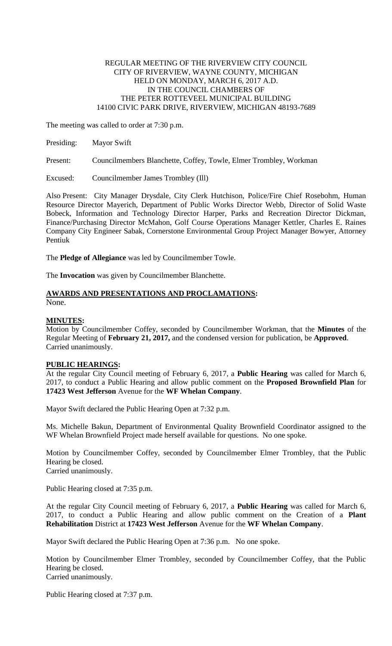# REGULAR MEETING OF THE RIVERVIEW CITY COUNCIL CITY OF RIVERVIEW, WAYNE COUNTY, MICHIGAN HELD ON MONDAY, MARCH 6, 2017 A.D. IN THE COUNCIL CHAMBERS OF THE PETER ROTTEVEEL MUNICIPAL BUILDING 14100 CIVIC PARK DRIVE, RIVERVIEW, MICHIGAN 48193-7689

The meeting was called to order at 7:30 p.m.

| Presiding: Mayor Swift |   |  |  |      |  |  |                                  |  |
|------------------------|---|--|--|------|--|--|----------------------------------|--|
| <b>STATISTICS</b>      | . |  |  | ____ |  |  | come service come of the company |  |

Present: Councilmembers Blanchette, Coffey, Towle, Elmer Trombley, Workman

Excused: Councilmember James Trombley (Ill)

Also Present: City Manager Drysdale, City Clerk Hutchison, Police/Fire Chief Rosebohm, Human Resource Director Mayerich, Department of Public Works Director Webb, Director of Solid Waste Bobeck, Information and Technology Director Harper, Parks and Recreation Director Dickman, Finance/Purchasing Director McMahon, Golf Course Operations Manager Kettler, Charles E. Raines Company City Engineer Sabak, Cornerstone Environmental Group Project Manager Bowyer, Attorney Pentiuk

The **Pledge of Allegiance** was led by Councilmember Towle.

The **Invocation** was given by Councilmember Blanchette.

### **AWARDS AND PRESENTATIONS AND PROCLAMATIONS:** None.

# **MINUTES:**

Motion by Councilmember Coffey, seconded by Councilmember Workman, that the **Minutes** of the Regular Meeting of **February 21, 2017,** and the condensed version for publication, be **Approved**. Carried unanimously.

# **PUBLIC HEARINGS:**

At the regular City Council meeting of February 6, 2017, a **Public Hearing** was called for March 6, 2017, to conduct a Public Hearing and allow public comment on the **Proposed Brownfield Plan** for **17423 West Jefferson** Avenue for the **WF Whelan Company**.

Mayor Swift declared the Public Hearing Open at 7:32 p.m.

Ms. Michelle Bakun, Department of Environmental Quality Brownfield Coordinator assigned to the WF Whelan Brownfield Project made herself available for questions. No one spoke.

Motion by Councilmember Coffey, seconded by Councilmember Elmer Trombley, that the Public Hearing be closed. Carried unanimously.

Public Hearing closed at 7:35 p.m.

At the regular City Council meeting of February 6, 2017, a **Public Hearing** was called for March 6, 2017, to conduct a Public Hearing and allow public comment on the Creation of a **Plant Rehabilitation** District at **17423 West Jefferson** Avenue for the **WF Whelan Company**.

Mayor Swift declared the Public Hearing Open at 7:36 p.m. No one spoke.

Motion by Councilmember Elmer Trombley, seconded by Councilmember Coffey, that the Public Hearing be closed. Carried unanimously.

Public Hearing closed at 7:37 p.m.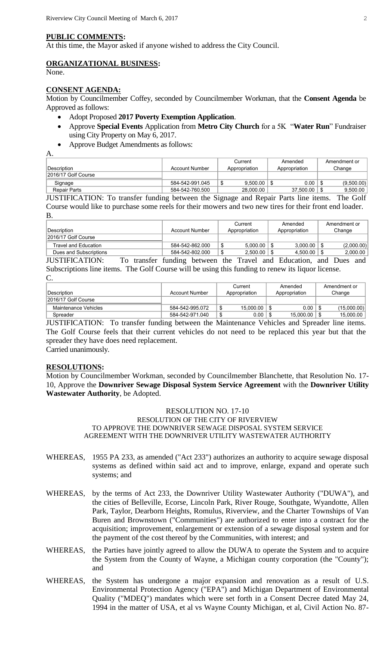#### **PUBLIC COMMENTS:**

At this time, the Mayor asked if anyone wished to address the City Council.

#### **ORGANIZATIONAL BUSINESS:**

None.

## **CONSENT AGENDA:**

Motion by Councilmember Coffey, seconded by Councilmember Workman, that the **Consent Agenda** be Approved as follows:

- Adopt Proposed **2017 Poverty Exemption Application**.
- Approve **Special Events** Application from **Metro City Church** for a 5K "**Water Run**" Fundraiser using City Property on May 6, 2017.
- Approve Budget Amendments as follows:

A.

|                      |                 | Current       | Amended       | Amendment or |
|----------------------|-----------------|---------------|---------------|--------------|
| !Description         | Account Number  | Appropriation | Appropriation | Change       |
| 12016/17 Golf Course |                 |               |               |              |
| Signage              | 584-542-991.045 | 9.500.00      | 0.00          | (9,500.00)   |
| Repair Parts         | 584-542-760.500 | 28,000.00     | 37.500.00     | 9,500.00     |

JUSTIFICATION: To transfer funding between the Signage and Repair Parts line items. The Golf Course would like to purchase some reels for their mowers and two new tires for their front end loader. B.

|                        |          |                                         |               | Current  |               | Amended  |        | Amendment or |
|------------------------|----------|-----------------------------------------|---------------|----------|---------------|----------|--------|--------------|
| ∣Description           |          | Account Number                          | Appropriation |          | Appropriation |          | Change |              |
| 2016/17 Golf Course    |          |                                         |               |          |               |          |        |              |
| Travel and Education   |          | 584-542-862.000                         |               | 5.000.00 |               | 3.000.00 |        | (2,000.00)   |
| Dues and Subscriptions |          | 584-542-802.000                         |               | 2.500.00 |               | 4.500.00 |        | 2.000.00     |
| II ICTIEIC A TIONI.    | trongfor | funding botway the Trevel and Education |               |          |               |          |        | and Duga and |

JUSTIFICATION: To transfer funding between the Travel and Education, and Dues and Subscriptions line items. The Golf Course will be using this funding to renew its liquor license. C.

| Description          | Account Number  | Current<br>Appropriation | Amended<br>Appropriation | Amendment or<br>Change |  |
|----------------------|-----------------|--------------------------|--------------------------|------------------------|--|
| 2016/17 Golf Course  |                 |                          |                          |                        |  |
| Maintenance Vehicles | 584-542-995.072 | 15.000.00                | 0.00                     | (15,000.00)            |  |
| Spreader             | 584-542-971.040 | 0.00                     | 15.000.00                | 15,000.00              |  |

JUSTIFICATION: To transfer funding between the Maintenance Vehicles and Spreader line items. The Golf Course feels that their current vehicles do not need to be replaced this year but that the spreader they have does need replacement.

Carried unanimously.

### **RESOLUTIONS:**

Motion by Councilmember Workman, seconded by Councilmember Blanchette, that Resolution No. 17- 10, Approve the **Downriver Sewage Disposal System Service Agreement** with the **Downriver Utility Wastewater Authority**, be Adopted.

### RESOLUTION NO. 17-10 RESOLUTION OF THE CITY OF RIVERVIEW TO APPROVE THE DOWNRIVER SEWAGE DISPOSAL SYSTEM SERVICE AGREEMENT WITH THE DOWNRIVER UTILITY WASTEWATER AUTHORITY

- WHEREAS, 1955 PA 233, as amended ("Act 233") authorizes an authority to acquire sewage disposal systems as defined within said act and to improve, enlarge, expand and operate such systems; and
- WHEREAS, by the terms of Act 233, the Downriver Utility Wastewater Authority ("DUWA"), and the cities of Belleville, Ecorse, Lincoln Park, River Rouge, Southgate, Wyandotte, Allen Park, Taylor, Dearborn Heights, Romulus, Riverview, and the Charter Townships of Van Buren and Brownstown ("Communities") are authorized to enter into a contract for the acquisition; improvement, enlargement or extension of a sewage disposal system and for the payment of the cost thereof by the Communities, with interest; and
- WHEREAS, the Parties have jointly agreed to allow the DUWA to operate the System and to acquire the System from the County of Wayne, a Michigan county corporation (the "County"); and
- WHEREAS, the System has undergone a major expansion and renovation as a result of U.S. Environmental Protection Agency ("EPA") and Michigan Department of Environmental Quality ("MDEQ") mandates which were set forth in a Consent Decree dated May 24, 1994 in the matter of USA, et al vs Wayne County Michigan, et al, Civil Action No. 87-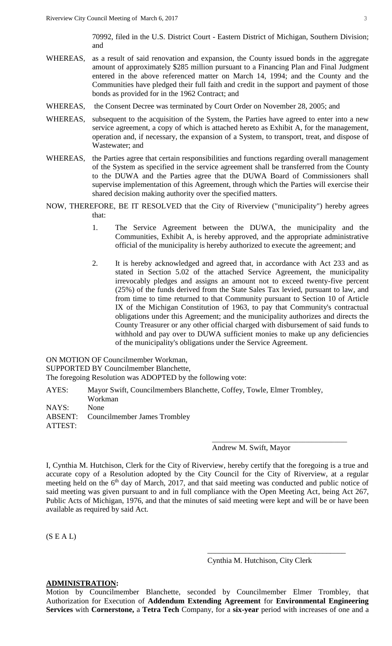70992, filed in the U.S. District Court - Eastern District of Michigan, Southern Division; and

- WHEREAS, as a result of said renovation and expansion, the County issued bonds in the aggregate amount of approximately \$285 million pursuant to a Financing Plan and Final Judgment entered in the above referenced matter on March 14, 1994; and the County and the Communities have pledged their full faith and credit in the support and payment of those bonds as provided for in the 1962 Contract; and
- WHEREAS, the Consent Decree was terminated by Court Order on November 28, 2005; and
- WHEREAS, subsequent to the acquisition of the System, the Parties have agreed to enter into a new service agreement, a copy of which is attached hereto as Exhibit A, for the management, operation and, if necessary, the expansion of a System, to transport, treat, and dispose of Wastewater; and
- WHEREAS, the Parties agree that certain responsibilities and functions regarding overall management of the System as specified in the service agreement shall be transferred from the County to the DUWA and the Parties agree that the DUWA Board of Commissioners shall supervise implementation of this Agreement, through which the Parties will exercise their shared decision making authority over the specified matters.
- NOW, THEREFORE, BE IT RESOLVED that the City of Riverview ("municipality") hereby agrees that:
	- 1. The Service Agreement between the DUWA, the municipality and the Communities, Exhibit A, is hereby approved, and the appropriate administrative official of the municipality is hereby authorized to execute the agreement; and
	- 2. It is hereby acknowledged and agreed that, in accordance with Act 233 and as stated in Section 5.02 of the attached Service Agreement, the municipality irrevocably pledges and assigns an amount not to exceed twenty-five percent (25%) of the funds derived from the State Sales Tax levied, pursuant to law, and from time to time returned to that Community pursuant to Section 10 of Article IX of the Michigan Constitution of 1963, to pay that Community's contractual obligations under this Agreement; and the municipality authorizes and directs the County Treasurer or any other official charged with disbursement of said funds to withhold and pay over to DUWA sufficient monies to make up any deficiencies of the municipality's obligations under the Service Agreement.

ON MOTION OF Councilmember Workman, SUPPORTED BY Councilmember Blanchette, The foregoing Resolution was ADOPTED by the following vote:

AYES: Mayor Swift, Councilmembers Blanchette, Coffey, Towle, Elmer Trombley, Workman NAYS: None ABSENT: Councilmember James Trombley ATTEST:

# Andrew M. Swift, Mayor

\_\_\_\_\_\_\_\_\_\_\_\_\_\_\_\_\_\_\_\_\_\_\_\_\_\_\_\_\_\_\_\_\_\_\_\_\_\_\_\_\_\_

I, Cynthia M. Hutchison, Clerk for the City of Riverview, hereby certify that the foregoing is a true and accurate copy of a Resolution adopted by the City Council for the City of Riverview, at a regular meeting held on the 6<sup>th</sup> day of March, 2017, and that said meeting was conducted and public notice of said meeting was given pursuant to and in full compliance with the Open Meeting Act, being Act 267, Public Acts of Michigan, 1976, and that the minutes of said meeting were kept and will be or have been available as required by said Act.

 $(S E A L)$ 

### Cynthia M. Hutchison, City Clerk

\_\_\_\_\_\_\_\_\_\_\_\_\_\_\_\_\_\_\_\_\_\_\_\_\_\_\_\_\_\_\_\_\_\_\_\_

# **ADMINISTRATION:**

Motion by Councilmember Blanchette, seconded by Councilmember Elmer Trombley, that Authorization for Execution of **Addendum Extending Agreement** for **Environmental Engineering Services** with **Cornerstone,** a **Tetra Tech** Company, for a **six-year** period with increases of one and a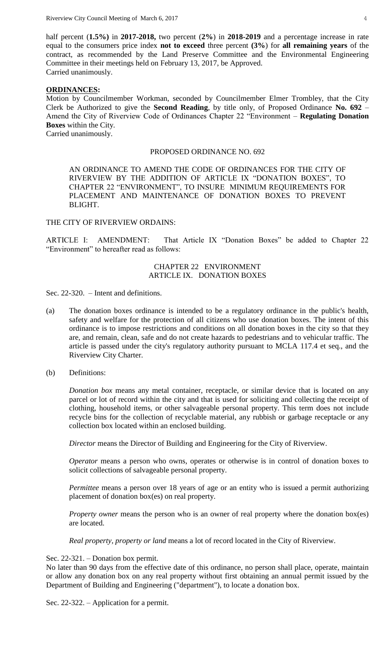half percent (**1.5%)** in **2017-2018,** two percent (**2%**) in **2018-2019** and a percentage increase in rate equal to the consumers price index **not to exceed** three percent **(3%**) for **all remaining years** of the contract, as recommended by the Land Preserve Committee and the Environmental Engineering Committee in their meetings held on February 13, 2017, be Approved. Carried unanimously.

### **ORDINANCES:**

Motion by Councilmember Workman, seconded by Councilmember Elmer Trombley, that the City Clerk be Authorized to give the **Second Reading**, by title only, of Proposed Ordinance **No. 692** – Amend the City of Riverview Code of Ordinances Chapter 22 "Environment – **Regulating Donation Boxes** within the City. Carried unanimously.

#### PROPOSED ORDINANCE NO. 692

AN ORDINANCE TO AMEND THE CODE OF ORDINANCES FOR THE CITY OF RIVERVIEW BY THE ADDITION OF ARTICLE IX "DONATION BOXES", TO CHAPTER 22 "ENVIRONMENT", TO INSURE MINIMUM REQUIREMENTS FOR PLACEMENT AND MAINTENANCE OF DONATION BOXES TO PREVENT BLIGHT.

## THE CITY OF RIVERVIEW ORDAINS:

ARTICLE I: AMENDMENT: That Article IX "Donation Boxes" be added to Chapter 22 "Environment" to hereafter read as follows:

### CHAPTER 22 ENVIRONMENT ARTICLE IX. DONATION BOXES

Sec. 22-320. – Intent and definitions.

- (a) The donation boxes ordinance is intended to be a regulatory ordinance in the public's health, safety and welfare for the protection of all citizens who use donation boxes. The intent of this ordinance is to impose restrictions and conditions on all donation boxes in the city so that they are, and remain, clean, safe and do not create hazards to pedestrians and to vehicular traffic. The article is passed under the city's regulatory authority pursuant to MCLA 117.4 et seq., and the Riverview City Charter.
- (b) Definitions:

*Donation box* means any metal container, receptacle, or similar device that is located on any parcel or lot of record within the city and that is used for soliciting and collecting the receipt of clothing, household items, or other salvageable personal property. This term does not include recycle bins for the collection of recyclable material, any rubbish or garbage receptacle or any collection box located within an enclosed building.

*Director* means the Director of Building and Engineering for the City of Riverview.

*Operator* means a person who owns, operates or otherwise is in control of donation boxes to solicit collections of salvageable personal property.

*Permittee* means a person over 18 years of age or an entity who is issued a permit authorizing placement of donation box(es) on real property.

*Property owner* means the person who is an owner of real property where the donation box(es) are located.

*Real property, property or land* means a lot of record located in the City of Riverview.

### Sec. 22-321. – Donation box permit.

No later than 90 days from the effective date of this ordinance, no person shall place, operate, maintain or allow any donation box on any real property without first obtaining an annual permit issued by the Department of Building and Engineering ("department"), to locate a donation box.

Sec. 22-322. – Application for a permit.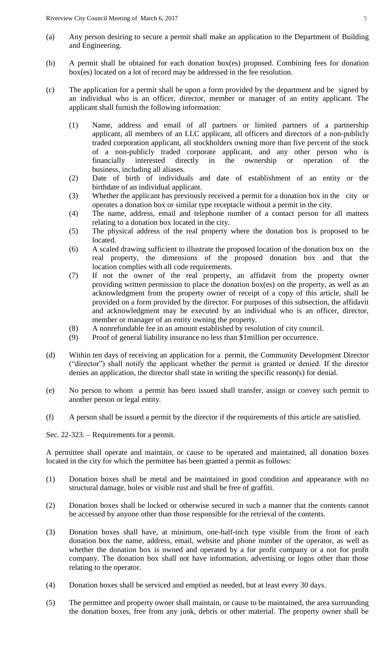- (a) Any person desiring to secure a permit shall make an application to the Department of Building and Engineering.
- (b) A permit shall be obtained for each donation box(es) proposed. Combining fees for donation box(es) located on a lot of record may be addressed in the fee resolution.
- (c) The application for a permit shall be upon a form provided by the department and be signed by an individual who is an officer, director, member or manager of an entity applicant. The applicant shall furnish the following information:
	- (1) Name, address and email of all partners or limited partners of a partnership applicant, all members of an LLC applicant, all officers and directors of a non-publicly traded corporation applicant, all stockholders owning more than five percent of the stock of a non-publicly traded corporate applicant, and any other person who is financially interested directly in the ownership or operation of the business, including all aliases.
	- (2) Date of birth of individuals and date of establishment of an entity or the birthdate of an individual applicant.
	- (3) Whether the applicant has previously received a permit for a donation box in the city or operates a donation box or similar type receptacle without a permit in the city.
	- (4) The name, address, email and telephone number of a contact person for all matters relating to a donation box located in the city.
	- (5) The physical address of the real property where the donation box is proposed to be located.
	- (6) A scaled drawing sufficient to illustrate the proposed location of the donation box on the real property, the dimensions of the proposed donation box and that the location complies with all code requirements.
	- (7) If not the owner of the real property, an affidavit from the property owner providing written permission to place the donation box(es) on the property, as well as an acknowledgment from the property owner of receipt of a copy of this article, shall be provided on a form provided by the director. For purposes of this subsection, the affidavit and acknowledgment may be executed by an individual who is an officer, director, member or manager of an entity owning the property.
	- (8) A nonrefundable fee in an amount established by resolution of city council.
	- (9) Proof of general liability insurance no less than \$1million per occurrence.
- (d) Within ten days of receiving an application for a permit, the Community Development Director ("director") shall notify the applicant whether the permit is granted or denied. If the director denies an application, the director shall state in writing the specific reason(s) for denial.
- (e) No person to whom a permit has been issued shall transfer, assign or convey such permit to another person or legal entity.
- (f) A person shall be issued a permit by the director if the requirements of this article are satisfied.

Sec. 22-323. – Requirements for a permit.

A permittee shall operate and maintain, or cause to be operated and maintained, all donation boxes located in the city for which the permittee has been granted a permit as follows:

- (1) Donation boxes shall be metal and be maintained in good condition and appearance with no structural damage, holes or visible rust and shall be free of graffiti.
- (2) Donation boxes shall be locked or otherwise secured in such a manner that the contents cannot be accessed by anyone other than those responsible for the retrieval of the contents.
- (3) Donation boxes shall have, at minimum, one-half-inch type visible from the front of each donation box the name, address, email, website and phone number of the operator, as well as whether the donation box is owned and operated by a for profit company or a not for profit company. The donation box shall not have information, advertising or logos other than those relating to the operator.
- (4) Donation boxes shall be serviced and emptied as needed, but at least every 30 days.
- (5) The permittee and property owner shall maintain, or cause to be maintained, the area surrounding the donation boxes, free from any junk, debris or other material. The property owner shall be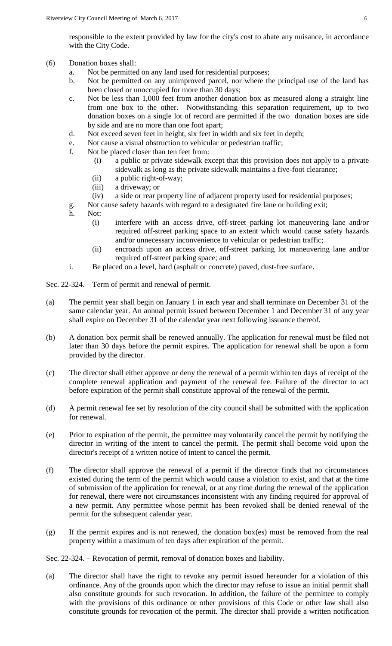responsible to the extent provided by law for the city's cost to abate any nuisance, in accordance with the City Code.

- (6) Donation boxes shall:
	- a. Not be permitted on any land used for residential purposes;
	- b. Not be permitted on any unimproved parcel, nor where the principal use of the land has been closed or unoccupied for more than 30 days;
	- c. Not be less than 1,000 feet from another donation box as measured along a straight line from one box to the other. Notwithstanding this separation requirement, up to two donation boxes on a single lot of record are permitted if the two donation boxes are side by side and are no more than one foot apart;
	- d. Not exceed seven feet in height, six feet in width and six feet in depth;
	- e. Not cause a visual obstruction to vehicular or pedestrian traffic;
	- f. Not be placed closer than ten feet from:
		- (i) a public or private sidewalk except that this provision does not apply to a private sidewalk as long as the private sidewalk maintains a five-foot clearance;
		- (ii) a public right-of-way;
		- (iii) a driveway; or
		- (iv) a side or rear property line of adjacent property used for residential purposes;
	- g. Not cause safety hazards with regard to a designated fire lane or building exit;
	- h. Not:
		- (i) interfere with an access drive, off-street parking lot maneuvering lane and/or required off-street parking space to an extent which would cause safety hazards and/or unnecessary inconvenience to vehicular or pedestrian traffic;
		- (ii) encroach upon an access drive, off-street parking lot maneuvering lane and/or required off-street parking space; and
	- i. Be placed on a level, hard (asphalt or concrete) paved, dust-free surface.

Sec. 22-324. – Term of permit and renewal of permit.

- (a) The permit year shall begin on January 1 in each year and shall terminate on December 31 of the same calendar year. An annual permit issued between December 1 and December 31 of any year shall expire on December 31 of the calendar year next following issuance thereof.
- (b) A donation box permit shall be renewed annually. The application for renewal must be filed not later than 30 days before the permit expires. The application for renewal shall be upon a form provided by the director.
- (c) The director shall either approve or deny the renewal of a permit within ten days of receipt of the complete renewal application and payment of the renewal fee. Failure of the director to act before expiration of the permit shall constitute approval of the renewal of the permit.
- (d) A permit renewal fee set by resolution of the city council shall be submitted with the application for renewal.
- (e) Prior to expiration of the permit, the permittee may voluntarily cancel the permit by notifying the director in writing of the intent to cancel the permit. The permit shall become void upon the director's receipt of a written notice of intent to cancel the permit.
- (f) The director shall approve the renewal of a permit if the director finds that no circumstances existed during the term of the permit which would cause a violation to exist, and that at the time of submission of the application for renewal, or at any time during the renewal of the application for renewal, there were not circumstances inconsistent with any finding required for approval of a new permit. Any permittee whose permit has been revoked shall be denied renewal of the permit for the subsequent calendar year.
- (g) If the permit expires and is not renewed, the donation box(es) must be removed from the real property within a maximum of ten days after expiration of the permit.

Sec. 22-324. – Revocation of permit, removal of donation boxes and liability.

(a) The director shall have the right to revoke any permit issued hereunder for a violation of this ordinance. Any of the grounds upon which the director may refuse to issue an initial permit shall also constitute grounds for such revocation. In addition, the failure of the permittee to comply with the provisions of this ordinance or other provisions of this Code or other law shall also constitute grounds for revocation of the permit. The director shall provide a written notification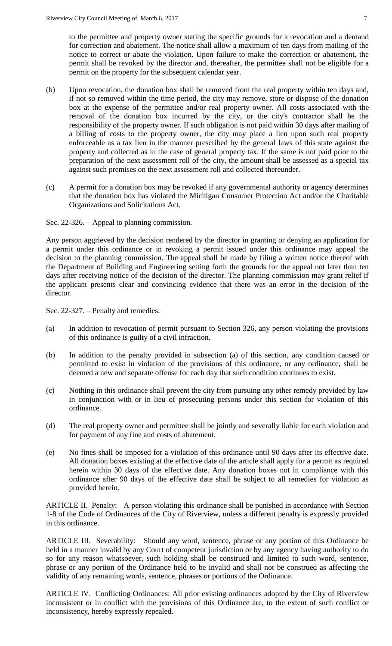to the permittee and property owner stating the specific grounds for a revocation and a demand for correction and abatement. The notice shall allow a maximum of ten days from mailing of the notice to correct or abate the violation. Upon failure to make the correction or abatement, the permit shall be revoked by the director and, thereafter, the permittee shall not be eligible for a permit on the property for the subsequent calendar year.

- (b) Upon revocation, the donation box shall be removed from the real property within ten days and, if not so removed within the time period, the city may remove, store or dispose of the donation box at the expense of the permittee and/or real property owner. All costs associated with the removal of the donation box incurred by the city, or the city's contractor shall be the responsibility of the property owner. If such obligation is not paid within 30 days after mailing of a billing of costs to the property owner, the city may place a lien upon such real property enforceable as a tax lien in the manner prescribed by the general laws of this state against the property and collected as in the case of general property tax. If the same is not paid prior to the preparation of the next assessment roll of the city, the amount shall be assessed as a special tax against such premises on the next assessment roll and collected thereunder.
- (c) A permit for a donation box may be revoked if any governmental authority or agency determines that the donation box has violated the Michigan Consumer Protection Act and/or the Charitable Organizations and Solicitations Act.

Sec. 22-326. – Appeal to planning commission.

Any person aggrieved by the decision rendered by the director in granting or denying an application for a permit under this ordinance or in revoking a permit issued under this ordinance may appeal the decision to the planning commission. The appeal shall be made by filing a written notice thereof with the Department of Building and Engineering setting forth the grounds for the appeal not later than ten days after receiving notice of the decision of the director. The planning commission may grant relief if the applicant presents clear and convincing evidence that there was an error in the decision of the director.

Sec. 22-327. – Penalty and remedies.

- (a) In addition to revocation of permit pursuant to Section 326, any person violating the provisions of this ordinance is guilty of a civil infraction.
- (b) In addition to the penalty provided in subsection (a) of this section, any condition caused or permitted to exist in violation of the provisions of this ordinance, or any ordinance, shall be deemed a new and separate offense for each day that such condition continues to exist.
- (c) Nothing in this ordinance shall prevent the city from pursuing any other remedy provided by law in conjunction with or in lieu of prosecuting persons under this section for violation of this ordinance.
- (d) The real property owner and permittee shall be jointly and severally liable for each violation and for payment of any fine and costs of abatement.
- (e) No fines shall be imposed for a violation of this ordinance until 90 days after its effective date. All donation boxes existing at the effective date of the article shall apply for a permit as required herein within 30 days of the effective date. Any donation boxes not in compliance with this ordinance after 90 days of the effective date shall be subject to all remedies for violation as provided herein.

ARTICLE II. Penalty: A person violating this ordinance shall be punished in accordance with Section 1-8 of the Code of Ordinances of the City of Riverview, unless a different penalty is expressly provided in this ordinance.

ARTICLE III. Severability: Should any word, sentence, phrase or any portion of this Ordinance be held in a manner invalid by any Court of competent jurisdiction or by any agency having authority to do so for any reason whatsoever, such holding shall be construed and limited to such word, sentence, phrase or any portion of the Ordinance held to be invalid and shall not be construed as affecting the validity of any remaining words, sentence, phrases or portions of the Ordinance.

ARTICLE IV. Conflicting Ordinances: All prior existing ordinances adopted by the City of Riverview inconsistent or in conflict with the provisions of this Ordinance are, to the extent of such conflict or inconsistency, hereby expressly repealed.